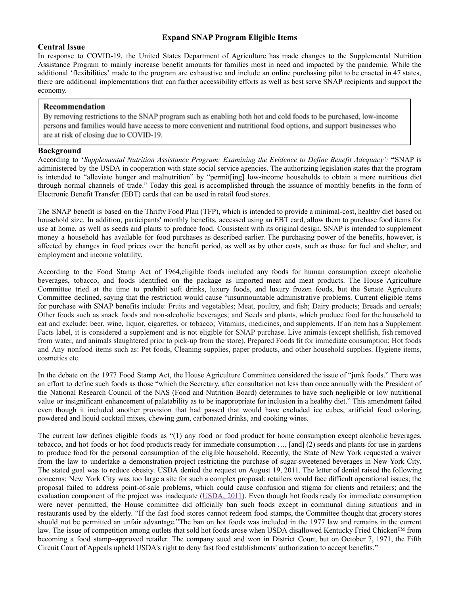# **Expand SNAP Program Eligible Items**

## **Central Issue**

In response to COVID-19, the United States Department of Agriculture has made changes to the Supplemental Nutrition Assistance Program to mainly increase benefit amounts for families most in need and impacted by the pandemic. While the additional 'flexibilities' made to the program are exhaustive and include an online purchasing pilot to be enacted in 47 states, there are additional implementations that can further accessibility efforts as well as best serve SNAP recipients and support the economy.

#### Recommendation

By removing restrictions to the SNAP program such as enabling both hot and cold foods to be purchased, low-income persons and families would have access to more convenient and nutritional food options, and support businesses who are at risk of closing due to COVID-19.

### **Background**

According to '*Supplemental Nutrition Assistance Program: Examining the Evidence to Define Benefit Adequacy':* **"**SNAP is administered by the USDA in cooperation with state social service agencies. The authorizing legislation states that the program is intended to "alleviate hunger and malnutrition" by "permit[ing] low-income households to obtain a more nutritious diet through normal channels of trade." Today this goal is accomplished through the issuance of monthly benefits in the form of Electronic Benefit Transfer (EBT) cards that can be used in retail food stores.

The SNAP benefit is based on the Thrifty Food Plan (TFP), which is intended to provide a minimal-cost, healthy diet based on household size. In addition, participants' monthly benefits, accessed using an EBT card, allow them to purchase food items for use at home, as well as seeds and plants to produce food. Consistent with its original design, SNAP is intended to supplement money a household has available for food purchases as described earlier. The purchasing power of the benefits, however, is affected by changes in food prices over the benefit period, as well as by other costs, such as those for fuel and shelter, and employment and income volatility.

According to the Food Stamp Act of 1964,eligible foods included any foods for human consumption except alcoholic beverages, tobacco, and foods identified on the package as imported meat and meat products. The House Agriculture Committee tried at the time to prohibit soft drinks, luxury foods, and luxury frozen foods, but the Senate Agriculture Committee declined, saying that the restriction would cause "insurmountable administrative problems. Current eligible items for purchase with SNAP benefits include: Fruits and vegetables; Meat, poultry, and fish; Dairy products; Breads and cereals; Other foods such as snack foods and non-alcoholic beverages; and Seeds and plants, which produce food for the household to eat and exclude: beer, wine, liquor, cigarettes, or tobacco; Vitamins, medicines, and supplements. If an item has a Supplement Facts label, it is considered a supplement and is not eligible for SNAP purchase. Live animals (except shellfish, fish removed from water, and animals slaughtered prior to pick-up from the store). Prepared Foods fit for immediate consumption; Hot foods and Any nonfood items such as: Pet foods, Cleaning supplies, paper products, and other household supplies. Hygiene items, cosmetics etc.

In the debate on the 1977 Food Stamp Act, the House Agriculture Committee considered the issue of "junk foods." There was an effort to define such foods as those "which the Secretary, after consultation not less than once annually with the President of the National Research Council of the NAS (Food and Nutrition Board) determines to have such negligible or low nutritional value or insignificant enhancement of palatability as to be inappropriate for inclusion in a healthy diet." This amendment failed even though it included another provision that had passed that would have excluded ice cubes, artificial food coloring, powdered and liquid cocktail mixes, chewing gum, carbonated drinks, and cooking wines.

The current law defines eligible foods as "(1) any food or food product for home consumption except alcoholic beverages, tobacco, and hot foods or hot food products ready for immediate consumption …, [and] (2) seeds and plants for use in gardens to produce food for the personal consumption of the eligible household. Recently, the State of New York requested a waiver from the law to undertake a demonstration project restricting the purchase of sugar-sweetened beverages in New York City. The stated goal was to reduce obesity. USDA denied the request on August 19, 2011. The letter of denial raised the following concerns: New York City was too large a site for such a complex proposal; retailers would face difficult operational issues; the proposal failed to address point-of-sale problems, which could cause confusion and stigma for clients and retailers; and the evaluation component of the project was inadequate ([USDA,](https://www.ncbi.nlm.nih.gov/books/NBK206907/#) 2011). Even though hot foods ready for immediate consumption were never permitted, the House committee did officially ban such foods except in communal dining situations and in restaurants used by the elderly. "If the fast food stores cannot redeem food stamps, the Committee thought that grocery stores should not be permitted an unfair advantage."The ban on hot foods was included in the 1977 law and remains in the current law. The issue of competition among outlets that sold hot foods arose when USDA disallowed Kentucky Fried Chicken™ from becoming a food stamp–approved retailer. The company sued and won in District Court, but on October 7, 1971, the Fifth Circuit Court of Appeals upheld USDA's right to deny fast food establishments' authorization to accept benefits."